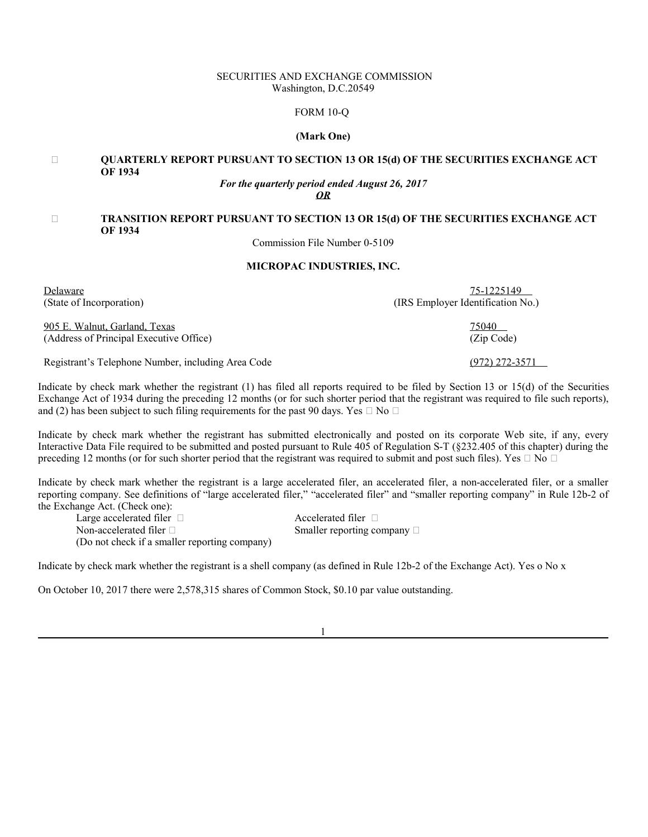# SECURITIES AND EXCHANGE COMMISSION Washington, D.C.20549

# FORM 10-Q

### **(Mark One)**

# **QUARTERLY REPORT PURSUANT TO SECTION 13 OR 15(d) OF THE SECURITIES EXCHANGE ACT OF 1934**

# *For the quarterly period ended August 26, 2017*

*OR*

# **TRANSITION REPORT PURSUANT TO SECTION 13 OR 15(d) OF THE SECURITIES EXCHANGE ACT OF 1934**

Commission File Number 0-5109

# **MICROPAC INDUSTRIES, INC.**

Delaware 75-1225149

(State of Incorporation) (IRS Employer Identification No.)

905 E. Walnut, Garland, Texas 75040 (Address of Principal Executive Office) (Zip Code)

Registrant's Telephone Number, including Area Code (972) 272-3571

Indicate by check mark whether the registrant (1) has filed all reports required to be filed by Section 13 or 15(d) of the Securities Exchange Act of 1934 during the preceding 12 months (or for such shorter period that the registrant was required to file such reports), and  $(2)$  has been subject to such filing requirements for the past 90 days. Yes No

Indicate by check mark whether the registrant has submitted electronically and posted on its corporate Web site, if any, every Interactive Data File required to be submitted and posted pursuant to Rule 405 of Regulation S-T (§232.405 of this chapter) during the preceding 12 months (or for such shorter period that the registrant was required to submit and post such files). Yes No

Indicate by check mark whether the registrant is a large accelerated filer, an accelerated filer, a non-accelerated filer, or a smaller reporting company. See definitions of "large accelerated filer," "accelerated filer" and "smaller reporting company" in Rule 12b-2 of the Exchange Act. (Check one):

(Do not check if a smaller reporting company) Large accelerated filer and accelerated filer Accelerated filer Non-accelerated filer Smaller reporting company

Indicate by check mark whether the registrant is a shell company (as defined in Rule 12b-2 of the Exchange Act). Yes o No x

On October 10, 2017 there were 2,578,315 shares of Common Stock, \$0.10 par value outstanding.

1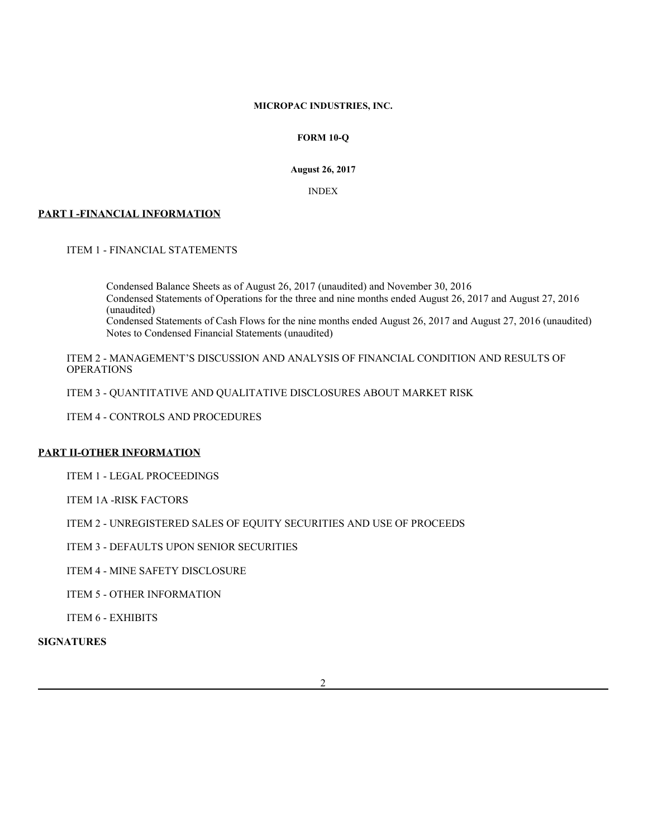# **MICROPAC INDUSTRIES, INC.**

# **FORM 10-Q**

**August 26, 2017**

INDEX

# **PART I -FINANCIAL INFORMATION**

ITEM 1 - FINANCIAL STATEMENTS

Condensed Balance Sheets as of August 26, 2017 (unaudited) and November 30, 2016 Condensed Statements of Operations for the three and nine months ended August 26, 2017 and August 27, 2016 (unaudited) Condensed Statements of Cash Flows for the nine months ended August 26, 2017 and August 27, 2016 (unaudited) Notes to Condensed Financial Statements (unaudited)

ITEM 2 - MANAGEMENT'S DISCUSSION AND ANALYSIS OF FINANCIAL CONDITION AND RESULTS OF OPERATIONS

ITEM 3 - QUANTITATIVE AND QUALITATIVE DISCLOSURES ABOUT MARKET RISK

ITEM 4 - CONTROLS AND PROCEDURES

# **PART II-OTHER INFORMATION**

ITEM 1 - LEGAL PROCEEDINGS

ITEM 1A -RISK FACTORS

ITEM 2 - UNREGISTERED SALES OF EQUITY SECURITIES AND USE OF PROCEEDS

ITEM 3 - DEFAULTS UPON SENIOR SECURITIES

ITEM 4 - MINE SAFETY DISCLOSURE

ITEM 5 - OTHER INFORMATION

ITEM 6 - EXHIBITS

**SIGNATURES**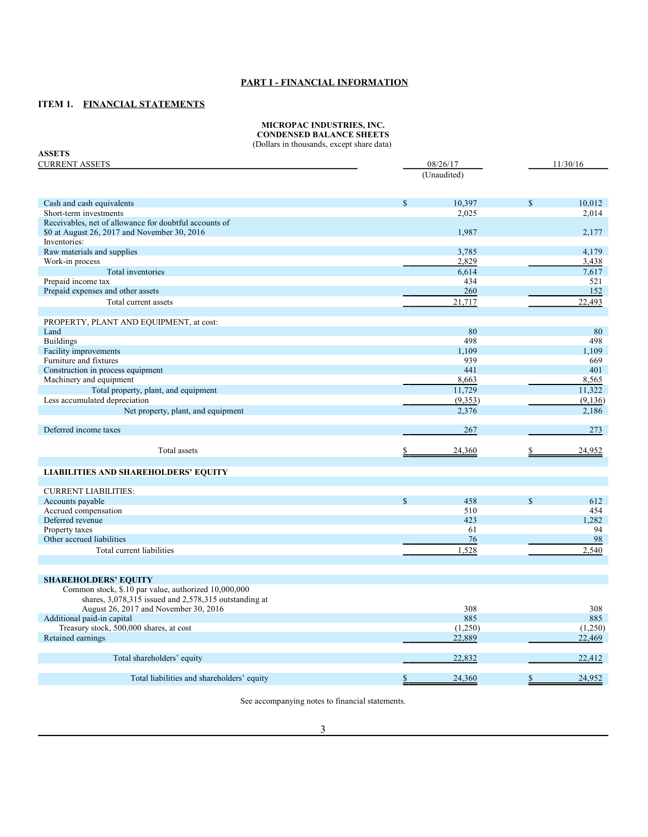# **PART I - FINANCIAL INFORMATION**

# **ITEM 1. FINANCIAL STATEMENTS**

#### **MICROPAC INDUSTRIES, INC. CONDENSED BALANCE SHEETS**

(Dollars in thousands, except share data)

| (Donars in thousanus, except share data)<br><b>ASSETS</b> |             |             |             |          |
|-----------------------------------------------------------|-------------|-------------|-------------|----------|
| <b>CURRENT ASSETS</b>                                     |             | 08/26/17    | 11/30/16    |          |
|                                                           |             | (Unaudited) |             |          |
|                                                           |             |             |             |          |
| Cash and cash equivalents                                 | $\mathbf S$ | 10,397      | $\mathbf S$ | 10.012   |
| Short-term investments                                    |             | 2,025       |             | 2,014    |
| Receivables, net of allowance for doubtful accounts of    |             |             |             |          |
| \$0 at August 26, 2017 and November 30, 2016              |             | 1,987       |             | 2,177    |
| Inventories:                                              |             |             |             |          |
| Raw materials and supplies                                |             | 3,785       |             | 4,179    |
| Work-in process                                           |             | 2,829       |             | 3,438    |
| Total inventories                                         |             | 6,614       |             | 7,617    |
| Prepaid income tax                                        |             | 434         |             | 521      |
| Prepaid expenses and other assets                         |             | 260         |             | 152      |
| Total current assets                                      |             | 21,717      |             | 22,493   |
|                                                           |             |             |             |          |
| PROPERTY, PLANT AND EQUIPMENT, at cost:                   |             |             |             |          |
| Land                                                      |             | 80          |             | 80       |
| <b>Buildings</b>                                          |             | 498         |             | 498      |
| Facility improvements                                     |             | 1,109       |             | 1,109    |
| Furniture and fixtures                                    |             | 939         |             | 669      |
| Construction in process equipment                         |             | 441         |             | 401      |
| Machinery and equipment                                   |             | 8,663       |             | 8,565    |
| Total property, plant, and equipment                      |             | 11,729      |             | 11,322   |
| Less accumulated depreciation                             |             | (9,353)     |             | (9, 136) |
| Net property, plant, and equipment                        |             | 2,376       |             | 2.186    |
|                                                           |             |             |             |          |
| Deferred income taxes                                     |             | 267         |             | 273      |
| Total assets                                              | \$          | 24,360      | \$          | 24,952   |
|                                                           |             |             |             |          |
| <b>LIABILITIES AND SHAREHOLDERS' EQUITY</b>               |             |             |             |          |
| <b>CURRENT LIABILITIES:</b>                               |             |             |             |          |
| Accounts payable                                          | $\mathbf S$ | 458         | $\mathbf S$ | 612      |
| Accrued compensation                                      |             | 510         |             | 454      |
| Deferred revenue                                          |             | 423         |             | 1,282    |
| Property taxes                                            |             | 61          |             | 94       |
| Other accrued liabilities                                 |             | 76          |             | 98       |
| Total current liabilities                                 |             | 1,528       |             | 2,540    |
|                                                           |             |             |             |          |
| <b>SHAREHOLDERS' EQUITY</b>                               |             |             |             |          |
| Common stock, \$.10 par value, authorized 10,000,000      |             |             |             |          |
| shares, 3,078,315 issued and 2,578,315 outstanding at     |             |             |             |          |
| August 26, 2017 and November 30, 2016                     |             | 308         |             | 308      |
| Additional paid-in capital                                |             | 885         |             | 885      |
| Treasury stock, 500,000 shares, at cost                   |             | (1,250)     |             | (1,250)  |
| Retained earnings                                         |             | 22,889      |             | 22,469   |
|                                                           |             |             |             |          |
| Total shareholders' equity                                |             | 22,832      |             | 22,412   |
| Total liabilities and shareholders' equity                | \$          | 24,360      | \$          | 24,952   |

See accompanying notes to financial statements.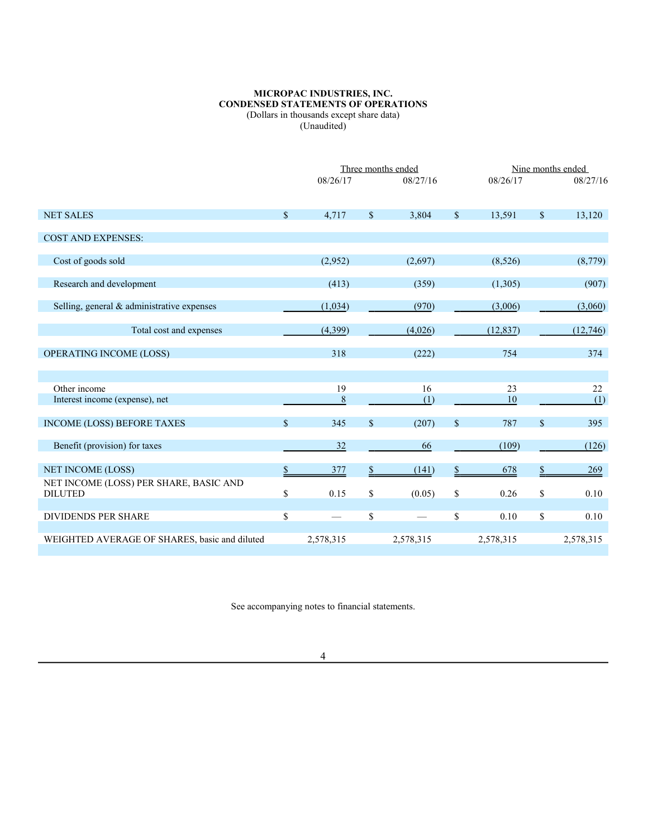### **MICROPAC INDUSTRIES, INC. CONDENSED STATEMENTS OF OPERATIONS** (Dollars in thousands except share data)

(Unaudited)

|                                                          |                    | Three months ended |              |           |             | Nine months ended |    |           |
|----------------------------------------------------------|--------------------|--------------------|--------------|-----------|-------------|-------------------|----|-----------|
|                                                          |                    | 08/26/17           |              | 08/27/16  |             | 08/26/17          |    | 08/27/16  |
| <b>NET SALES</b>                                         | $\mathbf{\hat{S}}$ | 4,717              | $\mathbb{S}$ | 3,804     | $\mathbf S$ | 13,591            | \$ | 13,120    |
| <b>COST AND EXPENSES:</b>                                |                    |                    |              |           |             |                   |    |           |
| Cost of goods sold                                       |                    | (2,952)            |              | (2,697)   |             | (8,526)           |    | (8,779)   |
| Research and development                                 |                    | (413)              |              | (359)     |             | (1,305)           |    | (907)     |
| Selling, general & administrative expenses               |                    | (1,034)            |              | (970)     |             | (3,006)           |    | (3,060)   |
| Total cost and expenses                                  |                    | (4,399)            |              | (4,026)   |             | (12, 837)         |    | (12,746)  |
| <b>OPERATING INCOME (LOSS)</b>                           |                    | 318                |              | (222)     |             | 754               |    | 374       |
| Other income                                             |                    | 19                 |              | 16        |             | 23                |    | 22        |
| Interest income (expense), net                           |                    | $\,8\,$            |              | (1)       |             | 10                |    | (1)       |
| <b>INCOME (LOSS) BEFORE TAXES</b>                        | \$                 | 345                | $\mathbb{S}$ | (207)     | \$          | 787               | \$ | 395       |
| Benefit (provision) for taxes                            |                    | 32                 |              | 66        |             | (109)             |    | (126)     |
| <b>NET INCOME (LOSS)</b>                                 | \$                 | 377                |              | (141)     |             | 678               | \$ | 269       |
| NET INCOME (LOSS) PER SHARE, BASIC AND<br><b>DILUTED</b> | \$                 | 0.15               | \$           | (0.05)    | \$          | 0.26              | \$ | 0.10      |
| <b>DIVIDENDS PER SHARE</b>                               | \$                 |                    | \$           |           | \$          | 0.10              | \$ | 0.10      |
| WEIGHTED AVERAGE OF SHARES, basic and diluted            |                    | 2,578,315          |              | 2,578,315 |             | 2,578,315         |    | 2,578,315 |

See accompanying notes to financial statements.

4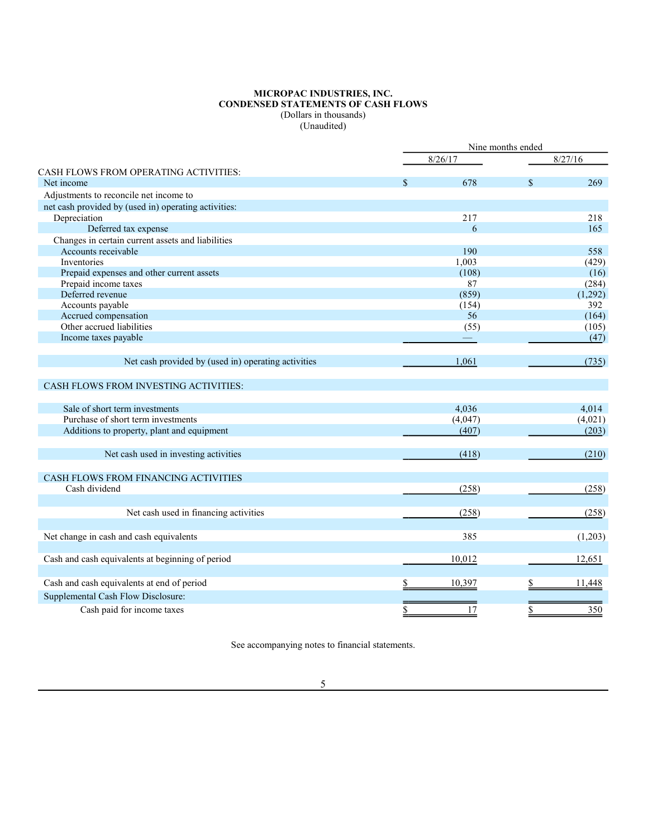### **MICROPAC INDUSTRIES, INC. CONDENSED STATEMENTS OF CASH FLOWS** (Dollars in thousands) (Unaudited)

|                                                      | Nine months ended |                    |         |
|------------------------------------------------------|-------------------|--------------------|---------|
|                                                      | 8/26/17           |                    | 8/27/16 |
| CASH FLOWS FROM OPERATING ACTIVITIES:                |                   |                    |         |
| Net income                                           | \$<br>678         | $\mathbf{\hat{S}}$ | 269     |
| Adjustments to reconcile net income to               |                   |                    |         |
| net cash provided by (used in) operating activities: |                   |                    |         |
| Depreciation                                         | 217               |                    | 218     |
| Deferred tax expense                                 | 6                 |                    | 165     |
| Changes in certain current assets and liabilities    |                   |                    |         |
| Accounts receivable                                  | 190               |                    | 558     |
| Inventories                                          | 1,003             |                    | (429)   |
| Prepaid expenses and other current assets            | (108)             |                    | (16)    |
| Prepaid income taxes                                 | 87                |                    | (284)   |
| Deferred revenue                                     | (859)             |                    | (1,292) |
| Accounts payable                                     | (154)             |                    | 392     |
| Accrued compensation                                 | 56                |                    | (164)   |
| Other accrued liabilities                            | (55)              |                    | (105)   |
| Income taxes payable                                 |                   |                    | (47)    |
| Net cash provided by (used in) operating activities  | 1,061             |                    | (735)   |
| CASH FLOWS FROM INVESTING ACTIVITIES:                |                   |                    |         |
| Sale of short term investments                       | 4.036             |                    | 4.014   |
| Purchase of short term investments                   | (4,047)           |                    | (4,021) |
| Additions to property, plant and equipment           | (407)             |                    | (203)   |
| Net cash used in investing activities                | (418)             |                    | (210)   |
| CASH FLOWS FROM FINANCING ACTIVITIES                 |                   |                    |         |
| Cash dividend                                        | (258)             |                    | (258)   |
| Net cash used in financing activities                | (258)             |                    | (258)   |
| Net change in cash and cash equivalents              | 385               |                    | (1,203) |
| Cash and cash equivalents at beginning of period     | 10,012            |                    | 12,651  |
| Cash and cash equivalents at end of period           | 10,397            |                    | 11,448  |
| Supplemental Cash Flow Disclosure:                   |                   |                    |         |
|                                                      |                   |                    |         |
| Cash paid for income taxes                           | 17                |                    | 350     |

See accompanying notes to financial statements.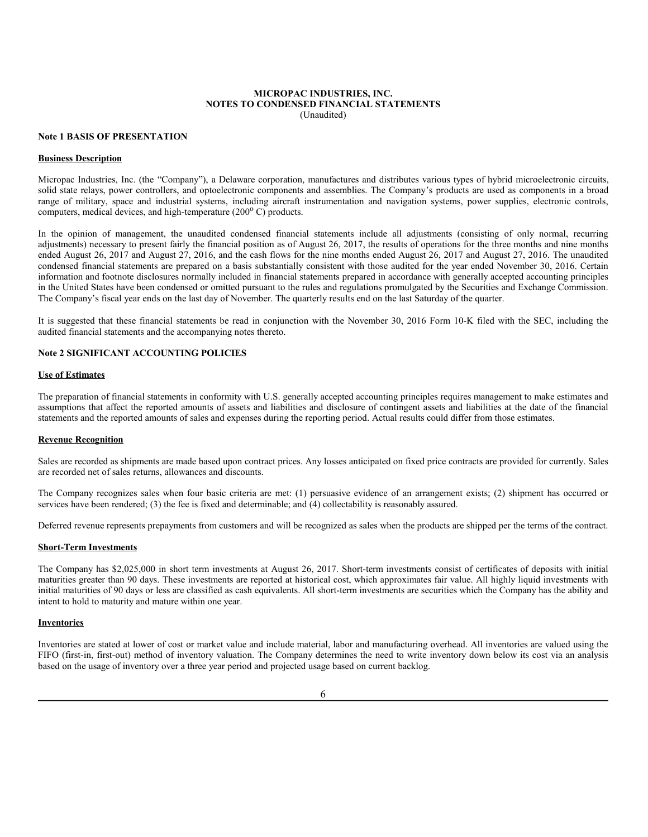#### **MICROPAC INDUSTRIES, INC. NOTES TO CONDENSED FINANCIAL STATEMENTS** (Unaudited)

#### **Note 1 BASIS OF PRESENTATION**

#### **Business Description**

Micropac Industries, Inc. (the "Company"), a Delaware corporation, manufactures and distributes various types of hybrid microelectronic circuits, solid state relays, power controllers, and optoelectronic components and assemblies. The Company's products are used as components in a broad range of military, space and industrial systems, including aircraft instrumentation and navigation systems, power supplies, electronic controls, computers, medical devices, and high-temperature (200°C) products.

In the opinion of management, the unaudited condensed financial statements include all adjustments (consisting of only normal, recurring adjustments) necessary to present fairly the financial position as of August 26, 2017, the results of operations for the three months and nine months ended August 26, 2017 and August 27, 2016, and the cash flows for the nine months ended August 26, 2017 and August 27, 2016. The unaudited condensed financial statements are prepared on a basis substantially consistent with those audited for the year ended November 30, 2016. Certain information and footnote disclosures normally included in financial statements prepared in accordance with generally accepted accounting principles in the United States have been condensed or omitted pursuant to the rules and regulations promulgated by the Securities and Exchange Commission. The Company's fiscal year ends on the last day of November. The quarterly results end on the last Saturday of the quarter.

It is suggested that these financial statements be read in conjunction with the November 30, 2016 Form 10-K filed with the SEC, including the audited financial statements and the accompanying notes thereto.

### **Note 2 SIGNIFICANT ACCOUNTING POLICIES**

#### **Use of Estimates**

The preparation of financial statements in conformity with U.S. generally accepted accounting principles requires management to make estimates and assumptions that affect the reported amounts of assets and liabilities and disclosure of contingent assets and liabilities at the date of the financial statements and the reported amounts of sales and expenses during the reporting period. Actual results could differ from those estimates.

#### **Revenue Recognition**

Sales are recorded as shipments are made based upon contract prices. Any losses anticipated on fixed price contracts are provided for currently. Sales are recorded net of sales returns, allowances and discounts.

The Company recognizes sales when four basic criteria are met: (1) persuasive evidence of an arrangement exists; (2) shipment has occurred or services have been rendered; (3) the fee is fixed and determinable; and (4) collectability is reasonably assured.

Deferred revenue represents prepayments from customers and will be recognized as sales when the products are shipped per the terms of the contract.

# **Short-Term Investments**

The Company has \$2,025,000 in short term investments at August 26, 2017. Short-term investments consist of certificates of deposits with initial maturities greater than 90 days. These investments are reported at historical cost, which approximates fair value. All highly liquid investments with initial maturities of 90 days or less are classified as cash equivalents. All short-term investments are securities which the Company has the ability and intent to hold to maturity and mature within one year.

### **Inventories**

Inventories are stated at lower of cost or market value and include material, labor and manufacturing overhead. All inventories are valued using the FIFO (first-in, first-out) method of inventory valuation. The Company determines the need to write inventory down below its cost via an analysis based on the usage of inventory over a three year period and projected usage based on current backlog.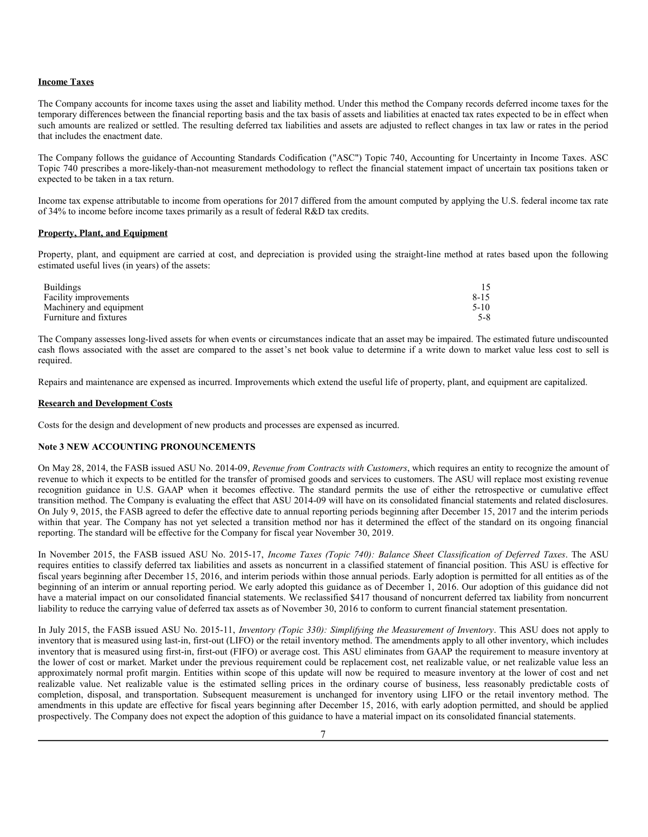### **Income Taxes**

The Company accounts for income taxes using the asset and liability method. Under this method the Company records deferred income taxes for the temporary differences between the financial reporting basis and the tax basis of assets and liabilities at enacted tax rates expected to be in effect when such amounts are realized or settled. The resulting deferred tax liabilities and assets are adjusted to reflect changes in tax law or rates in the period that includes the enactment date.

The Company follows the guidance of Accounting Standards Codification ("ASC") Topic 740, Accounting for Uncertainty in Income Taxes. ASC Topic 740 prescribes a more-likely-than-not measurement methodology to reflect the financial statement impact of uncertain tax positions taken or expected to be taken in a tax return.

Income tax expense attributable to income from operations for 2017 differed from the amount computed by applying the U.S. federal income tax rate of 34% to income before income taxes primarily as a result of federal R&D tax credits.

### **Property, Plant, and Equipment**

Property, plant, and equipment are carried at cost, and depreciation is provided using the straight-line method at rates based upon the following estimated useful lives (in years) of the assets:

| <b>Buildings</b>        |          |
|-------------------------|----------|
| Facility improvements   | $8 - 15$ |
| Machinery and equipment | $5-10$   |
| Furniture and fixtures  | 5-8      |

The Company assesses long-lived assets for when events or circumstances indicate that an asset may be impaired. The estimated future undiscounted cash flows associated with the asset are compared to the asset's net book value to determine if a write down to market value less cost to sell is required.

Repairs and maintenance are expensed as incurred. Improvements which extend the useful life of property, plant, and equipment are capitalized.

#### **Research and Development Costs**

Costs for the design and development of new products and processes are expensed as incurred.

# **Note 3 NEW ACCOUNTING PRONOUNCEMENTS**

On May 28, 2014, the FASB issued ASU No. 2014-09, *Revenue from Contracts with Customers*, which requires an entity to recognize the amount of revenue to which it expects to be entitled for the transfer of promised goods and services to customers. The ASU will replace most existing revenue recognition guidance in U.S. GAAP when it becomes effective. The standard permits the use of either the retrospective or cumulative effect transition method. The Company is evaluating the effect that ASU 2014-09 will have on its consolidated financial statements and related disclosures. On July 9, 2015, the FASB agreed to defer the effective date to annual reporting periods beginning after December 15, 2017 and the interim periods within that year. The Company has not yet selected a transition method nor has it determined the effect of the standard on its ongoing financial reporting. The standard will be effective for the Company for fiscal year November 30, 2019.

In November 2015, the FASB issued ASU No. 2015-17, *Income Taxes (Topic 740): Balance Sheet Classification of Deferred Taxes*. The ASU requires entities to classify deferred tax liabilities and assets as noncurrent in a classified statement of financial position. This ASU is effective for fiscal years beginning after December 15, 2016, and interim periods within those annual periods. Early adoption is permitted for all entities as of the beginning of an interim or annual reporting period. We early adopted this guidance as of December 1, 2016. Our adoption of this guidance did not have a material impact on our consolidated financial statements. We reclassified \$417 thousand of noncurrent deferred tax liability from noncurrent liability to reduce the carrying value of deferred tax assets as of November 30, 2016 to conform to current financial statement presentation.

In July 2015, the FASB issued ASU No. 2015-11, *Inventory (Topic 330): Simplifying the Measurement of Inventory*. This ASU does not apply to inventory that is measured using last-in, first-out (LIFO) or the retail inventory method. The amendments apply to all other inventory, which includes inventory that is measured using first-in, first-out (FIFO) or average cost. This ASU eliminates from GAAP the requirement to measure inventory at the lower of cost or market. Market under the previous requirement could be replacement cost, net realizable value, or net realizable value less an approximately normal profit margin. Entities within scope of this update will now be required to measure inventory at the lower of cost and net realizable value. Net realizable value is the estimated selling prices in the ordinary course of business, less reasonably predictable costs of completion, disposal, and transportation. Subsequent measurement is unchanged for inventory using LIFO or the retail inventory method. The amendments in this update are effective for fiscal years beginning after December 15, 2016, with early adoption permitted, and should be applied prospectively. The Company does not expect the adoption of this guidance to have a material impact on its consolidated financial statements.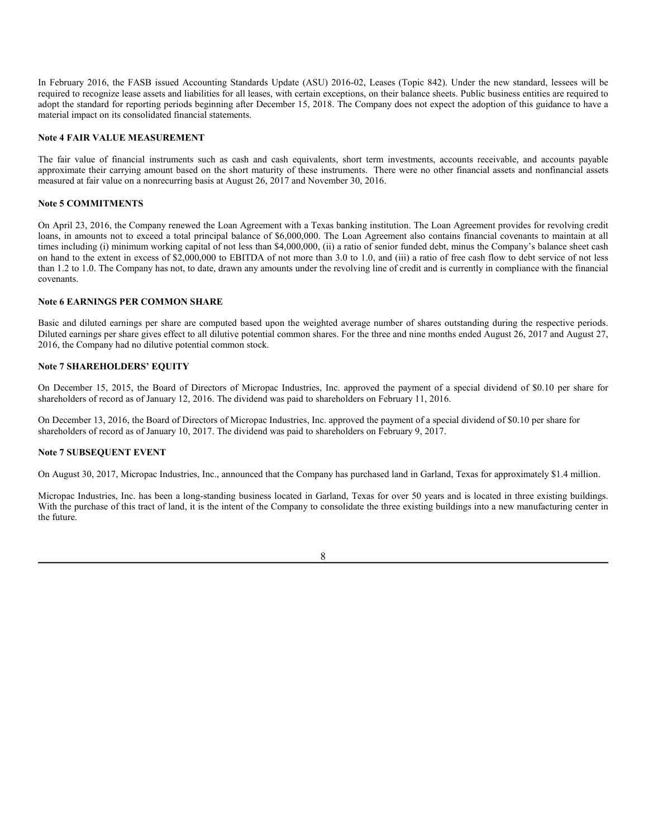In February 2016, the FASB issued Accounting Standards Update (ASU) 2016-02, Leases (Topic 842). Under the new standard, lessees will be required to recognize lease assets and liabilities for all leases, with certain exceptions, on their balance sheets. Public business entities are required to adopt the standard for reporting periods beginning after December 15, 2018. The Company does not expect the adoption of this guidance to have a material impact on its consolidated financial statements.

## **Note 4 FAIR VALUE MEASUREMENT**

The fair value of financial instruments such as cash and cash equivalents, short term investments, accounts receivable, and accounts payable approximate their carrying amount based on the short maturity of these instruments. There were no other financial assets and nonfinancial assets measured at fair value on a nonrecurring basis at August 26, 2017 and November 30, 2016.

# **Note 5 COMMITMENTS**

On April 23, 2016, the Company renewed the Loan Agreement with a Texas banking institution. The Loan Agreement provides for revolving credit loans, in amounts not to exceed a total principal balance of \$6,000,000. The Loan Agreement also contains financial covenants to maintain at all times including (i) minimum working capital of not less than \$4,000,000, (ii) a ratio of senior funded debt, minus the Company's balance sheet cash on hand to the extent in excess of \$2,000,000 to EBITDA of not more than 3.0 to 1.0, and (iii) a ratio of free cash flow to debt service of not less than 1.2 to 1.0. The Company has not, to date, drawn any amounts under the revolving line of credit and is currently in compliance with the financial covenants.

### **Note 6 EARNINGS PER COMMON SHARE**

Basic and diluted earnings per share are computed based upon the weighted average number of shares outstanding during the respective periods. Diluted earnings per share gives effect to all dilutive potential common shares. For the three and nine months ended August 26, 2017 and August 27, 2016, the Company had no dilutive potential common stock.

# **Note 7 SHAREHOLDERS' EQUITY**

On December 15, 2015, the Board of Directors of Micropac Industries, Inc. approved the payment of a special dividend of \$0.10 per share for shareholders of record as of January 12, 2016. The dividend was paid to shareholders on February 11, 2016.

On December 13, 2016, the Board of Directors of Micropac Industries, Inc. approved the payment of a special dividend of \$0.10 per share for shareholders of record as of January 10, 2017. The dividend was paid to shareholders on February 9, 2017.

### **Note 7 SUBSEQUENT EVENT**

On August 30, 2017, Micropac Industries, Inc., announced that the Company has purchased land in Garland, Texas for approximately \$1.4 million.

Micropac Industries, Inc. has been a long-standing business located in Garland, Texas for over 50 years and is located in three existing buildings. With the purchase of this tract of land, it is the intent of the Company to consolidate the three existing buildings into a new manufacturing center in the future.

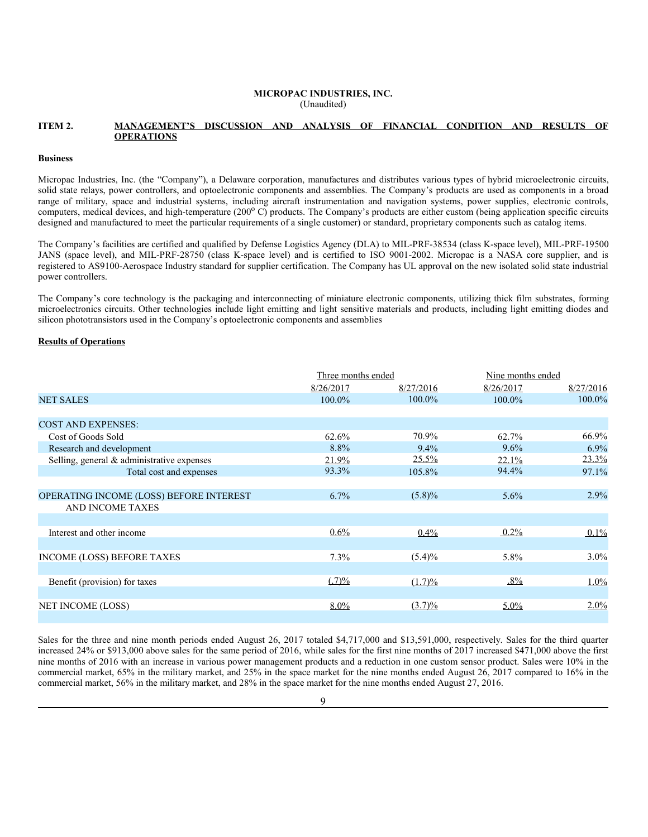#### **MICROPAC INDUSTRIES, INC.** (Unaudited)

### **ITEM 2. MANAGEMENT'S DISCUSSION AND ANALYSIS OF FINANCIAL CONDITION AND RESULTS OF OPERATIONS**

#### **Business**

Micropac Industries, Inc. (the "Company"), a Delaware corporation, manufactures and distributes various types of hybrid microelectronic circuits, solid state relays, power controllers, and optoelectronic components and assemblies. The Company's products are used as components in a broad range of military, space and industrial systems, including aircraft instrumentation and navigation systems, power supplies, electronic controls, computers, medical devices, and high-temperature (200° C) products. The Company's products are either custom (being application specific circuits designed and manufactured to meet the particular requirements of a single customer) or standard, proprietary components such as catalog items.

The Company's facilities are certified and qualified by Defense Logistics Agency (DLA) to MIL-PRF-38534 (class K-space level), MIL-PRF-19500 JANS (space level), and MIL-PRF-28750 (class K-space level) and is certified to ISO 9001-2002. Micropac is a NASA core supplier, and is registered to AS9100-Aerospace Industry standard for supplier certification. The Company has UL approval on the new isolated solid state industrial power controllers.

The Company's core technology is the packaging and interconnecting of miniature electronic components, utilizing thick film substrates, forming microelectronics circuits. Other technologies include light emitting and light sensitive materials and products, including light emitting diodes and silicon phototransistors used in the Company's optoelectronic components and assemblies

## **Results of Operations**

|                                                | Three months ended |           | Nine months ended |           |  |
|------------------------------------------------|--------------------|-----------|-------------------|-----------|--|
|                                                | 8/26/2017          | 8/27/2016 | 8/26/2017         | 8/27/2016 |  |
| <b>NET SALES</b>                               | 100.0%             | 100.0%    | 100.0%            | 100.0%    |  |
|                                                |                    |           |                   |           |  |
| <b>COST AND EXPENSES:</b>                      |                    |           |                   |           |  |
| Cost of Goods Sold                             | 62.6%              | 70.9%     | 62.7%             | 66.9%     |  |
| Research and development                       | 8.8%               | $9.4\%$   | $9.6\%$           | 6.9%      |  |
| Selling, general & administrative expenses     | 21.9%              | $25.5\%$  | $22.1\%$          | $23.3\%$  |  |
| Total cost and expenses                        | 93.3%              | 105.8%    | 94.4%             | 97.1%     |  |
|                                                |                    |           |                   |           |  |
| <b>OPERATING INCOME (LOSS) BEFORE INTEREST</b> | $6.7\%$            | $(5.8)\%$ | $5.6\%$           | 2.9%      |  |
| <b>AND INCOME TAXES</b>                        |                    |           |                   |           |  |
|                                                |                    |           |                   |           |  |
| Interest and other income                      | $0.6\%$            | $0.4\%$   | $0.2\%$           | $0.1\%$   |  |
|                                                |                    |           |                   |           |  |
| <b>INCOME (LOSS) BEFORE TAXES</b>              | 7.3%               | $(5.4)\%$ | 5.8%              | $3.0\%$   |  |
|                                                |                    |           |                   |           |  |
| Benefit (provision) for taxes                  | (.7)%              | $(1.7)\%$ | $.8\%$            | 1.0%      |  |
|                                                |                    |           |                   |           |  |
| <b>NET INCOME (LOSS)</b>                       | $8.0\%$            | $(3.7)\%$ | $5.0\%$           | $2.0\%$   |  |

Sales for the three and nine month periods ended August 26, 2017 totaled \$4,717,000 and \$13,591,000, respectively. Sales for the third quarter increased 24% or \$913,000 above sales for the same period of 2016, while sales for the first nine months of 2017 increased \$471,000 above the first nine months of 2016 with an increase in various power management products and a reduction in one custom sensor product. Sales were 10% in the commercial market, 65% in the military market, and 25% in the space market for the nine months ended August 26, 2017 compared to 16% in the commercial market, 56% in the military market, and 28% in the space market for the nine months ended August 27, 2016.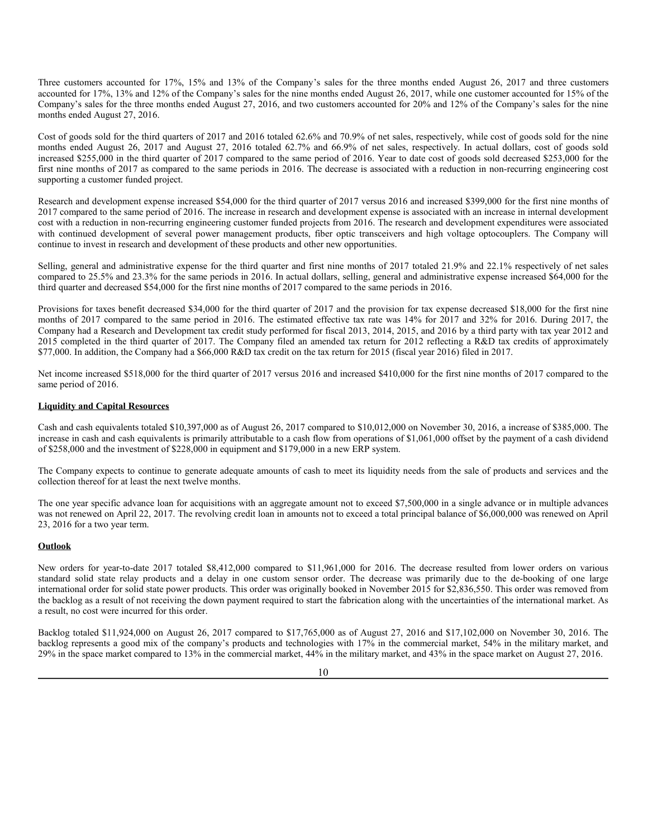Three customers accounted for 17%, 15% and 13% of the Company's sales for the three months ended August 26, 2017 and three customers accounted for 17%, 13% and 12% of the Company's sales for the nine months ended August 26, 2017, while one customer accounted for 15% of the Company's sales for the three months ended August 27, 2016, and two customers accounted for 20% and 12% of the Company's sales for the nine months ended August 27, 2016.

Cost of goods sold for the third quarters of 2017 and 2016 totaled 62.6% and 70.9% of net sales, respectively, while cost of goods sold for the nine months ended August 26, 2017 and August 27, 2016 totaled 62.7% and 66.9% of net sales, respectively. In actual dollars, cost of goods sold increased \$255,000 in the third quarter of 2017 compared to the same period of 2016. Year to date cost of goods sold decreased \$253,000 for the first nine months of 2017 as compared to the same periods in 2016. The decrease is associated with a reduction in non-recurring engineering cost supporting a customer funded project.

Research and development expense increased \$54,000 for the third quarter of 2017 versus 2016 and increased \$399,000 for the first nine months of 2017 compared to the same period of 2016. The increase in research and development expense is associated with an increase in internal development cost with a reduction in non-recurring engineering customer funded projects from 2016. The research and development expenditures were associated with continued development of several power management products, fiber optic transceivers and high voltage optocouplers. The Company will continue to invest in research and development of these products and other new opportunities.

Selling, general and administrative expense for the third quarter and first nine months of 2017 totaled 21.9% and 22.1% respectively of net sales compared to 25.5% and 23.3% for the same periods in 2016. In actual dollars, selling, general and administrative expense increased \$64,000 for the third quarter and decreased \$54,000 for the first nine months of 2017 compared to the same periods in 2016.

Provisions for taxes benefit decreased \$34,000 for the third quarter of 2017 and the provision for tax expense decreased \$18,000 for the first nine months of 2017 compared to the same period in 2016. The estimated effective tax rate was 14% for 2017 and 32% for 2016. During 2017, the Company had a Research and Development tax credit study performed for fiscal 2013, 2014, 2015, and 2016 by a third party with tax year 2012 and 2015 completed in the third quarter of 2017. The Company filed an amended tax return for 2012 reflecting a R&D tax credits of approximately \$77,000. In addition, the Company had a \$66,000 R&D tax credit on the tax return for 2015 (fiscal year 2016) filed in 2017.

Net income increased \$518,000 for the third quarter of 2017 versus 2016 and increased \$410,000 for the first nine months of 2017 compared to the same period of 2016.

### **Liquidity and Capital Resources**

Cash and cash equivalents totaled \$10,397,000 as of August 26, 2017 compared to \$10,012,000 on November 30, 2016, a increase of \$385,000. The increase in cash and cash equivalents is primarily attributable to a cash flow from operations of \$1,061,000 offset by the payment of a cash dividend of \$258,000 and the investment of \$228,000 in equipment and \$179,000 in a new ERP system.

The Company expects to continue to generate adequate amounts of cash to meet its liquidity needs from the sale of products and services and the collection thereof for at least the next twelve months.

The one year specific advance loan for acquisitions with an aggregate amount not to exceed \$7,500,000 in a single advance or in multiple advances was not renewed on April 22, 2017. The revolving credit loan in amounts not to exceed a total principal balance of \$6,000,000 was renewed on April 23, 2016 for a two year term.

#### **Outlook**

New orders for year-to-date 2017 totaled \$8,412,000 compared to \$11,961,000 for 2016. The decrease resulted from lower orders on various standard solid state relay products and a delay in one custom sensor order. The decrease was primarily due to the de-booking of one large international order for solid state power products. This order was originally booked in November 2015 for \$2,836,550. This order was removed from the backlog as a result of not receiving the down payment required to start the fabrication along with the uncertainties of the international market. As a result, no cost were incurred for this order.

Backlog totaled \$11,924,000 on August 26, 2017 compared to \$17,765,000 as of August 27, 2016 and \$17,102,000 on November 30, 2016. The backlog represents a good mix of the company's products and technologies with 17% in the commercial market, 54% in the military market, and 29% in the space market compared to 13% in the commercial market, 44% in the military market, and 43% in the space market on August 27, 2016.

10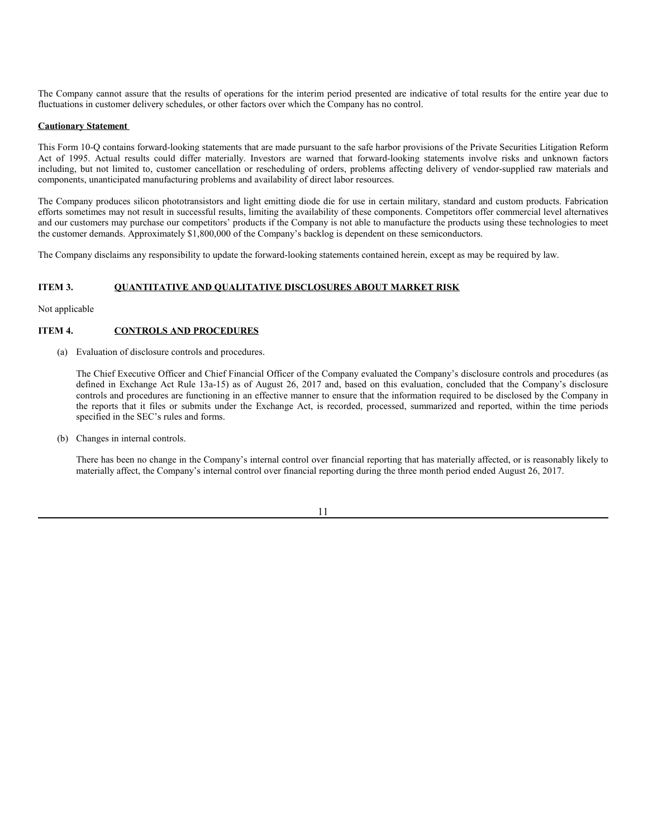The Company cannot assure that the results of operations for the interim period presented are indicative of total results for the entire year due to fluctuations in customer delivery schedules, or other factors over which the Company has no control.

### **Cautionary Statement**

This Form 10-Q contains forward-looking statements that are made pursuant to the safe harbor provisions of the Private Securities Litigation Reform Act of 1995. Actual results could differ materially. Investors are warned that forward-looking statements involve risks and unknown factors including, but not limited to, customer cancellation or rescheduling of orders, problems affecting delivery of vendor-supplied raw materials and components, unanticipated manufacturing problems and availability of direct labor resources.

The Company produces silicon phototransistors and light emitting diode die for use in certain military, standard and custom products. Fabrication efforts sometimes may not result in successful results, limiting the availability of these components. Competitors offer commercial level alternatives and our customers may purchase our competitors' products if the Company is not able to manufacture the products using these technologies to meet the customer demands. Approximately \$1,800,000 of the Company's backlog is dependent on these semiconductors.

The Company disclaims any responsibility to update the forward-looking statements contained herein, except as may be required by law.

## **ITEM 3. QUANTITATIVE AND QUALITATIVE DISCLOSURES ABOUT MARKET RISK**

Not applicable

## **ITEM 4. CONTROLS AND PROCEDURES**

(a) Evaluation of disclosure controls and procedures.

The Chief Executive Officer and Chief Financial Officer of the Company evaluated the Company's disclosure controls and procedures (as defined in Exchange Act Rule 13a-15) as of August 26, 2017 and, based on this evaluation, concluded that the Company's disclosure controls and procedures are functioning in an effective manner to ensure that the information required to be disclosed by the Company in the reports that it files or submits under the Exchange Act, is recorded, processed, summarized and reported, within the time periods specified in the SEC's rules and forms.

(b) Changes in internal controls.

There has been no change in the Company's internal control over financial reporting that has materially affected, or is reasonably likely to materially affect, the Company's internal control over financial reporting during the three month period ended August 26, 2017.